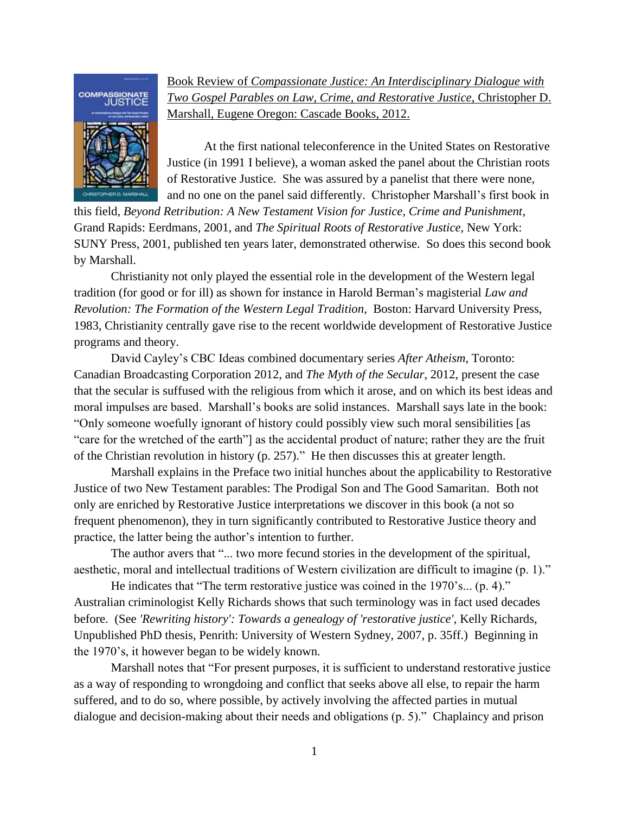

Book Review of *Compassionate Justice: An Interdisciplinary Dialogue with Two Gospel Parables on Law, Crime, and Restorative Justice*, Christopher D. Marshall, Eugene Oregon: Cascade Books, 2012.

At the first national teleconference in the United States on Restorative Justice (in 1991 I believe), a woman asked the panel about the Christian roots of Restorative Justice. She was assured by a panelist that there were none, and no one on the panel said differently. Christopher Marshall's first book in

this field, *Beyond Retribution: A New Testament Vision for Justice, Crime and Punishment*, Grand Rapids: Eerdmans*,* 2001, and *The Spiritual Roots of Restorative Justice*, New York: SUNY Press, 2001*,* published ten years later, demonstrated otherwise. So does this second book by Marshall.

Christianity not only played the essential role in the development of the Western legal tradition (for good or for ill) as shown for instance in Harold Berman's magisterial *Law and Revolution: The Formation of the Western Legal Tradition*, Boston: Harvard University Press, 1983, Christianity centrally gave rise to the recent worldwide development of Restorative Justice programs and theory.

David Cayley's CBC Ideas combined documentary series *After Atheism*, Toronto: Canadian Broadcasting Corporation 2012, and *The Myth of the Secular*, 2012, present the case that the secular is suffused with the religious from which it arose, and on which its best ideas and moral impulses are based. Marshall's books are solid instances. Marshall says late in the book: "Only someone woefully ignorant of history could possibly view such moral sensibilities [as "care for the wretched of the earth"] as the accidental product of nature; rather they are the fruit of the Christian revolution in history (p. 257)." He then discusses this at greater length.

Marshall explains in the Preface two initial hunches about the applicability to Restorative Justice of two New Testament parables: The Prodigal Son and The Good Samaritan. Both not only are enriched by Restorative Justice interpretations we discover in this book (a not so frequent phenomenon), they in turn significantly contributed to Restorative Justice theory and practice, the latter being the author's intention to further.

The author avers that "... two more fecund stories in the development of the spiritual, aesthetic, moral and intellectual traditions of Western civilization are difficult to imagine (p. 1)."

He indicates that "The term restorative justice was coined in the 1970's... (p. 4)." Australian criminologist Kelly Richards shows that such terminology was in fact used decades before. (See *'Rewriting history': Towards a genealogy of 'restorative justice'*, Kelly Richards, Unpublished PhD thesis, Penrith: University of Western Sydney, 2007, p. 35ff.) Beginning in the 1970's, it however began to be widely known.

Marshall notes that "For present purposes, it is sufficient to understand restorative justice as a way of responding to wrongdoing and conflict that seeks above all else, to repair the harm suffered, and to do so, where possible, by actively involving the affected parties in mutual dialogue and decision-making about their needs and obligations (p. 5)." Chaplaincy and prison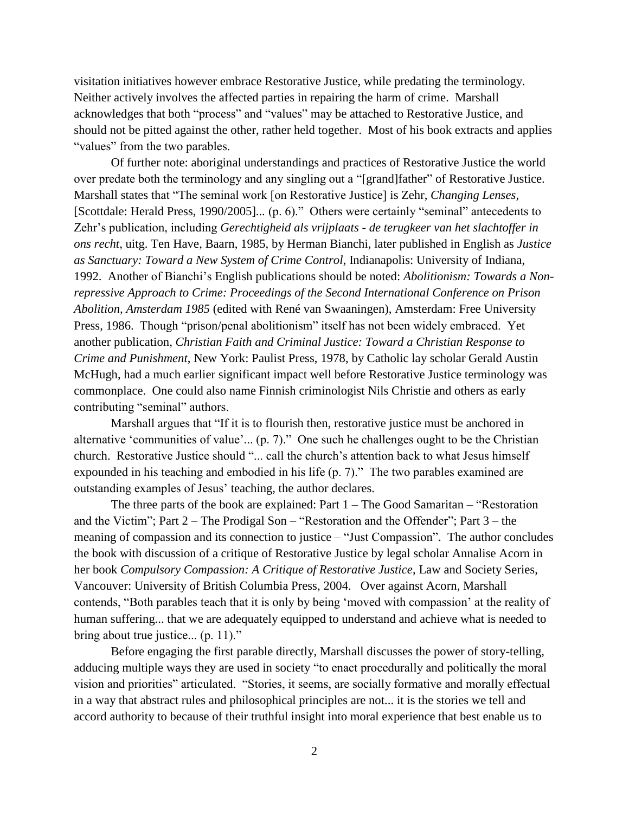visitation initiatives however embrace Restorative Justice, while predating the terminology. Neither actively involves the affected parties in repairing the harm of crime. Marshall acknowledges that both "process" and "values" may be attached to Restorative Justice, and should not be pitted against the other, rather held together. Most of his book extracts and applies "values" from the two parables.

Of further note: aboriginal understandings and practices of Restorative Justice the world over predate both the terminology and any singling out a "[grand]father" of Restorative Justice. Marshall states that "The seminal work [on Restorative Justice] is Zehr, *Changing Lenses,*  [Scottdale: Herald Press, 1990/2005]*...* (p. 6)." Others were certainly "seminal" antecedents to Zehr's publication, including *Gerechtigheid als vrijplaats - de terugkeer van het slachtoffer in ons recht*, uitg. Ten Have, Baarn, 1985, by Herman Bianchi, later published in English as *Justice as Sanctuary: Toward a New System of Crime Control*, Indianapolis: University of Indiana, 1992. Another of Bianchi's English publications should be noted: *Abolitionism: Towards a Nonrepressive Approach to Crime: Proceedings of the Second International Conference on Prison Abolition, Amsterdam 1985* (edited with René van Swaaningen), Amsterdam: Free University Press, 1986. Though "prison/penal abolitionism" itself has not been widely embraced. Yet another publication, *Christian Faith and Criminal Justice: Toward a Christian Response to Crime and Punishment*, New York: Paulist Press, 1978, by Catholic lay scholar Gerald Austin McHugh, had a much earlier significant impact well before Restorative Justice terminology was commonplace. One could also name Finnish criminologist Nils Christie and others as early contributing "seminal" authors.

Marshall argues that "If it is to flourish then, restorative justice must be anchored in alternative 'communities of value'... (p. 7)." One such he challenges ought to be the Christian church. Restorative Justice should "... call the church's attention back to what Jesus himself expounded in his teaching and embodied in his life (p. 7)." The two parables examined are outstanding examples of Jesus' teaching, the author declares.

The three parts of the book are explained: Part 1 – The Good Samaritan – "Restoration and the Victim"; Part 2 – The Prodigal Son – "Restoration and the Offender"; Part 3 – the meaning of compassion and its connection to justice – "Just Compassion". The author concludes the book with discussion of a critique of Restorative Justice by legal scholar Annalise Acorn in her book *Compulsory Compassion: A Critique of Restorative Justice*, Law and Society Series, Vancouver: University of British Columbia Press, 2004. Over against Acorn, Marshall contends, "Both parables teach that it is only by being 'moved with compassion' at the reality of human suffering... that we are adequately equipped to understand and achieve what is needed to bring about true justice... (p. 11)."

Before engaging the first parable directly, Marshall discusses the power of story-telling, adducing multiple ways they are used in society "to enact procedurally and politically the moral vision and priorities" articulated. "Stories, it seems, are socially formative and morally effectual in a way that abstract rules and philosophical principles are not... it is the stories we tell and accord authority to because of their truthful insight into moral experience that best enable us to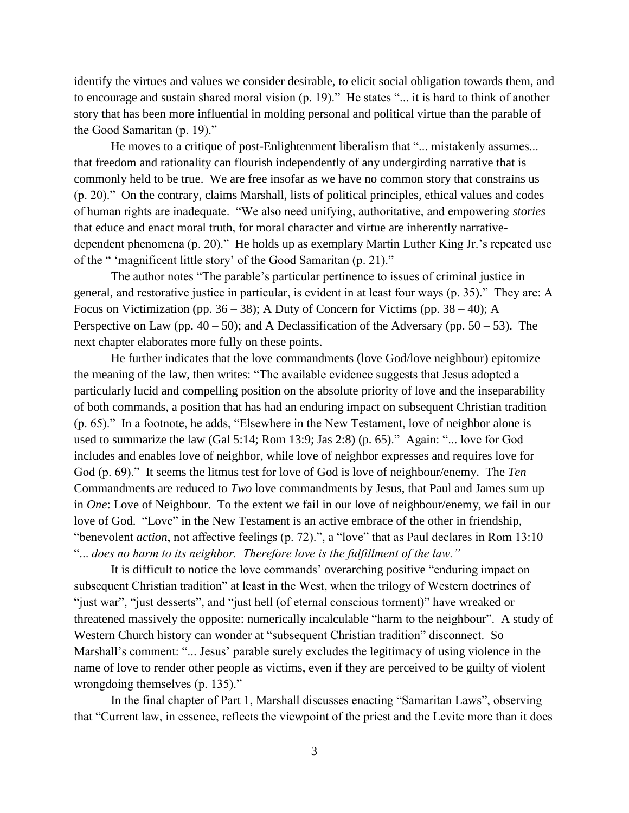identify the virtues and values we consider desirable, to elicit social obligation towards them, and to encourage and sustain shared moral vision (p. 19)." He states "... it is hard to think of another story that has been more influential in molding personal and political virtue than the parable of the Good Samaritan (p. 19)."

He moves to a critique of post-Enlightenment liberalism that "... mistakenly assumes... that freedom and rationality can flourish independently of any undergirding narrative that is commonly held to be true. We are free insofar as we have no common story that constrains us (p. 20)." On the contrary, claims Marshall, lists of political principles, ethical values and codes of human rights are inadequate. "We also need unifying, authoritative, and empowering *stories*  that educe and enact moral truth, for moral character and virtue are inherently narrativedependent phenomena (p. 20)." He holds up as exemplary Martin Luther King Jr.'s repeated use of the " 'magnificent little story' of the Good Samaritan (p. 21)."

The author notes "The parable's particular pertinence to issues of criminal justice in general, and restorative justice in particular, is evident in at least four ways (p. 35)." They are: A Focus on Victimization (pp. 36 – 38); A Duty of Concern for Victims (pp. 38 – 40); A Perspective on Law (pp.  $40 - 50$ ); and A Declassification of the Adversary (pp.  $50 - 53$ ). The next chapter elaborates more fully on these points.

He further indicates that the love commandments (love God/love neighbour) epitomize the meaning of the law, then writes: "The available evidence suggests that Jesus adopted a particularly lucid and compelling position on the absolute priority of love and the inseparability of both commands, a position that has had an enduring impact on subsequent Christian tradition (p. 65)." In a footnote, he adds, "Elsewhere in the New Testament, love of neighbor alone is used to summarize the law (Gal 5:14; Rom 13:9; Jas 2:8) (p. 65)." Again: "... love for God includes and enables love of neighbor, while love of neighbor expresses and requires love for God (p. 69)." It seems the litmus test for love of God is love of neighbour/enemy. The *Ten* Commandments are reduced to *Two* love commandments by Jesus, that Paul and James sum up in *One*: Love of Neighbour. To the extent we fail in our love of neighbour/enemy, we fail in our love of God. "Love" in the New Testament is an active embrace of the other in friendship, "benevolent *action*, not affective feelings (p. 72).", a "love" that as Paul declares in Rom 13:10 "... *does no harm to its neighbor. Therefore love is the fulfillment of the law."* 

It is difficult to notice the love commands' overarching positive "enduring impact on subsequent Christian tradition" at least in the West, when the trilogy of Western doctrines of "just war", "just desserts", and "just hell (of eternal conscious torment)" have wreaked or threatened massively the opposite: numerically incalculable "harm to the neighbour". A study of Western Church history can wonder at "subsequent Christian tradition" disconnect. So Marshall's comment: "... Jesus' parable surely excludes the legitimacy of using violence in the name of love to render other people as victims, even if they are perceived to be guilty of violent wrongdoing themselves (p. 135)."

In the final chapter of Part 1, Marshall discusses enacting "Samaritan Laws", observing that "Current law, in essence, reflects the viewpoint of the priest and the Levite more than it does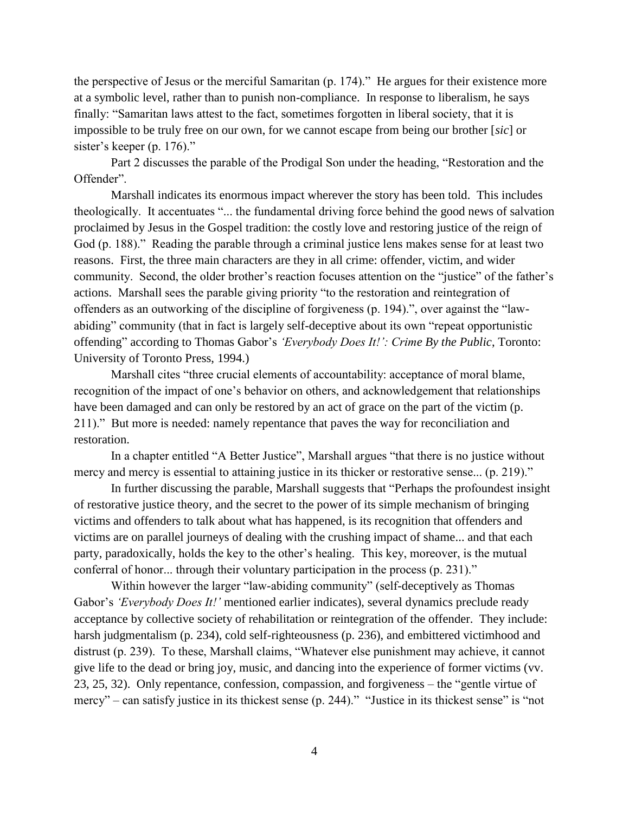the perspective of Jesus or the merciful Samaritan (p. 174)." He argues for their existence more at a symbolic level, rather than to punish non-compliance. In response to liberalism, he says finally: "Samaritan laws attest to the fact, sometimes forgotten in liberal society, that it is impossible to be truly free on our own, for we cannot escape from being our brother [*sic*] or sister's keeper (p. 176)."

Part 2 discusses the parable of the Prodigal Son under the heading, "Restoration and the Offender".

Marshall indicates its enormous impact wherever the story has been told. This includes theologically. It accentuates "... the fundamental driving force behind the good news of salvation proclaimed by Jesus in the Gospel tradition: the costly love and restoring justice of the reign of God (p. 188)." Reading the parable through a criminal justice lens makes sense for at least two reasons. First, the three main characters are they in all crime: offender, victim, and wider community. Second, the older brother's reaction focuses attention on the "justice" of the father's actions. Marshall sees the parable giving priority "to the restoration and reintegration of offenders as an outworking of the discipline of forgiveness (p. 194).", over against the "lawabiding" community (that in fact is largely self-deceptive about its own "repeat opportunistic offending" according to Thomas Gabor's *'Everybody Does It!': Crime By the Public*, Toronto: University of Toronto Press, 1994.)

Marshall cites "three crucial elements of accountability: acceptance of moral blame, recognition of the impact of one's behavior on others, and acknowledgement that relationships have been damaged and can only be restored by an act of grace on the part of the victim (p. 211)." But more is needed: namely repentance that paves the way for reconciliation and restoration.

In a chapter entitled "A Better Justice", Marshall argues "that there is no justice without mercy and mercy is essential to attaining justice in its thicker or restorative sense... (p. 219)."

In further discussing the parable, Marshall suggests that "Perhaps the profoundest insight of restorative justice theory, and the secret to the power of its simple mechanism of bringing victims and offenders to talk about what has happened, is its recognition that offenders and victims are on parallel journeys of dealing with the crushing impact of shame... and that each party, paradoxically, holds the key to the other's healing. This key, moreover, is the mutual conferral of honor... through their voluntary participation in the process (p. 231)."

Within however the larger "law-abiding community" (self-deceptively as Thomas Gabor's *'Everybody Does It!'* mentioned earlier indicates), several dynamics preclude ready acceptance by collective society of rehabilitation or reintegration of the offender. They include: harsh judgmentalism (p. 234), cold self-righteousness (p. 236), and embittered victimhood and distrust (p. 239). To these, Marshall claims, "Whatever else punishment may achieve, it cannot give life to the dead or bring joy, music, and dancing into the experience of former victims (vv. 23, 25, 32). Only repentance, confession, compassion, and forgiveness – the "gentle virtue of mercy" – can satisfy justice in its thickest sense (p. 244)." "Justice in its thickest sense" is "not